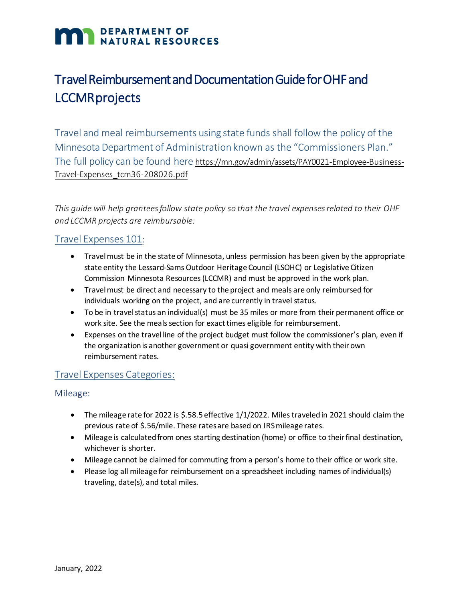# **MAN DEPARTMENT OF NATURAL RESOURCES**

### Travel Reimbursement and Documentation GuideforOHF and **LCCMR** projects

Travel and meal reimbursements using state funds shall follow the policy of the Minnesota Department of Administration known as the "Commissioners Plan." The full policy can be found here https://mn.gov/admin/assets/PAY0021-Employee-Business-Travel-Expenses\_tcm36-208026.pdf

*This guide will help grantees follow state policy so that the travel expenses related to their OHF and LCCMR projects are reimbursable:* 

### Travel Expenses 101:

- • Travel must be in the state of Minnesota, unless permission has been given by the appropriate state entity the Lessard-Sams Outdoor Heritage Council (LSOHC) or Legislative Citizen Commission Minnesota Resources (LCCMR) and must be approved in the work plan.
- • Travel must be direct and necessary to the project and meals are only reimbursed for individuals working on the project, and are currently in travel status.
- • To be in travel status an individual(s) must be 35 miles or more from their permanent office or work site. See the meals section for exact times eligible for reimbursement.
- • Expenses on the travel line of the project budget must follow the commissioner's plan, even if the organization is another government or quasi government entity with their own reimbursement rates.

#### Travel Expenses Categories:

Mileage:

- • The mileage rate for 2022 is \$.58.5 effective 1/1/2022. Miles traveled in 2021 should claim the previous rate of \$.56/mile. These ratesare based on IRS mileage rates.
- • Mileage is calculated from ones starting destination (home) or office to their final destination, whichever is shorter.
- Mileage cannot be claimed for commuting from a person's home to their office or work site.
- Please log all mileage for reimbursement on a spreadsheet including names of individual(s) traveling, date(s), and total miles.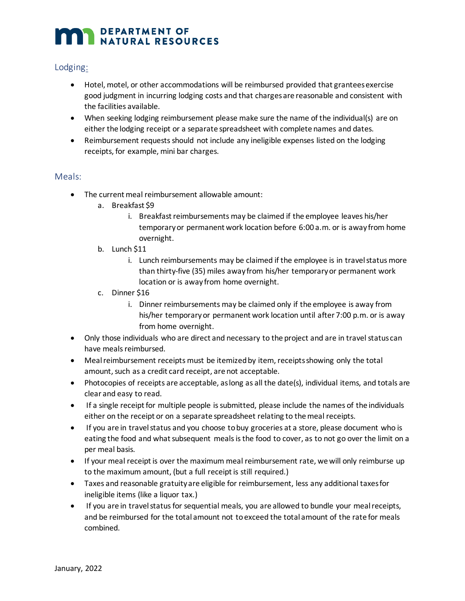# **MAN DEPARTMENT OF NATURAL RESOURCES**

#### Lodging:

- good judgment in incurring lodging costs and that charges are reasonable and consistent with • Hotel, motel, or other accommodations will be reimbursed provided that grantees exercise the facilities available.
- either the lodging receipt or a separate spreadsheet with complete names and dates. • When seeking lodging reimbursement please make sure the name of the individual(s) are on
- receipts, for example, mini bar charges. • Reimbursement requests should not include any ineligible expenses listed on the lodging

#### Meals:

- The current meal reimbursement allowable amount:
	- a. Breakfast \$9
		- temporary or permanent work location before 6:00 a.m. or is away from home i. Breakfast reimbursements may be claimed if the employee leaves his/her overnight.
	- b. Lunch \$11
		- i. Lunch reimbursements may be claimed if the employee is in travel status more than thirty-five (35) miles away from his/her temporary or permanent work location or is away from home overnight.
	- c. Dinner \$16
		- i. Dinner reimbursements may be claimed only if the employee is away from his/her temporary or permanent work location until after 7:00 p.m. or is away from home overnight.
- • Only those individuals who are direct and necessary to the project and are in travel status can have meals reimbursed.
- • Meal reimbursement receipts must be itemized by item, receipts showing only the total amount, such as a credit card receipt, are not acceptable.
- • Photocopies of receipts are acceptable, as long as all the date(s), individual items, and totals are clear and easy to read.
- • If a single receipt for multiple people is submitted, please include the names of the individuals either on the receipt or on a separate spreadsheet relating to the meal receipts.
- • If you are in travel status and you choose to buy groceries at a store, please document who is eating the food and what subsequent meals is the food to cover, as to not go over the limit on a per meal basis.
- • If your meal receipt is over the maximum meal reimbursement rate, we will only reimburse up to the maximum amount, (but a full receipt is still required.)
- ineligible items (like a liquor tax.) • Taxes and reasonable gratuity are eligible for reimbursement, less any additional taxes for
- • If you are in travel status for sequential meals, you are allowed to bundle your meal receipts, and be reimbursed for the total amount not to exceed the total amount of the rate for meals combined.